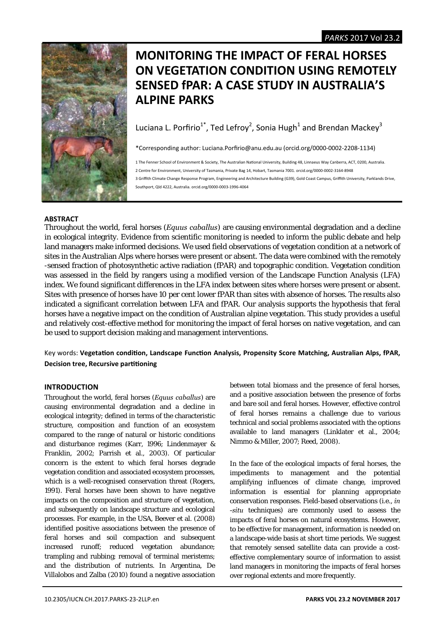

# **MONITORING THE IMPACT OF FERAL HORSES ON VEGETATION CONDITION USING REMOTELY SENSED fPAR: A CASE STUDY IN AUSTRALIA'S ALPINE PARKS**

Luciana L. Porfirio<sup>1\*</sup>, Ted Lefroy<sup>2</sup>, Sonia Hugh<sup>1</sup> and Brendan Mackey<sup>3</sup>

\*Corresponding author: Luciana.Porfirio@anu.edu.au (orcid.org/0000‐0002‐2208‐1134)

1 The Fenner School of Environment & Society, The Australian National University, Building 48, Linnaeus Way Canberra, ACT, 0200, Australia.

2 Centre for Environment, University of Tasmania, Private Bag 14, Hobart, Tasmania 7001. orcid.org/0000‐0002‐3164‐8948

3 Griffith Climate Change Response Program, Engineering and Architecture Building (G39), Gold Coast Campus, Griffith University, Parklands Drive, Southport, Qld 4222, Australia. orcid.org/0000‐0003‐1996‐4064

# **ABSTRACT**

Throughout the world, feral horses (*Equus caballus*) are causing environmental degradation and a decline in ecological integrity. Evidence from scientific monitoring is needed to inform the public debate and help land managers make informed decisions. We used field observations of vegetation condition at a network of sites in the Australian Alps where horses were present or absent. The data were combined with the remotely -sensed fraction of photosynthetic active radiation (fPAR) and topographic condition. Vegetation condition was assessed in the field by rangers using a modified version of the Landscape Function Analysis (LFA) index. We found significant differences in the LFA index between sites where horses were present or absent. Sites with presence of horses have 10 per cent lower fPAR than sites with absence of horses. The results also indicated a significant correlation between LFA and fPAR. Our analysis supports the hypothesis that feral horses have a negative impact on the condition of Australian alpine vegetation. This study provides a useful and relatively cost-effective method for monitoring the impact of feral horses on native vegetation, and can be used to support decision making and management interventions.

Key words: Vegetation condition, Landscape Function Analysis, Propensity Score Matching, Australian Alps, fPAR, **Decision tree, Recursive partitioning** 

# **INTRODUCTION**

Throughout the world, feral horses (*Equus caballus*) are causing environmental degradation and a decline in ecological integrity; defined in terms of the characteristic structure, composition and function of an ecosystem compared to the range of natural or historic conditions and disturbance regimes (Karr, 1996; Lindenmayer & Franklin, 2002; Parrish et al., 2003). Of particular concern is the extent to which feral horses degrade vegetation condition and associated ecosystem processes, which is a well-recognised conservation threat (Rogers, 1991). Feral horses have been shown to have negative impacts on the composition and structure of vegetation, and subsequently on landscape structure and ecological processes. For example, in the USA, Beever et al. (2008) identified positive associations between the presence of feral horses and soil compaction and subsequent increased runoff; reduced vegetation abundance; trampling and rubbing; removal of terminal meristems; and the distribution of nutrients. In Argentina, De Villalobos and Zalba (2010) found a negative association

between total biomass and the presence of feral horses, and a positive association between the presence of forbs and bare soil and feral horses. However, effective control of feral horses remains a challenge due to various technical and social problems associated with the options available to land managers (Linklater et al., 2004; Nimmo & Miller, 2007; Reed, 2008).

In the face of the ecological impacts of feral horses, the impediments to management and the potential amplifying influences of climate change, improved information is essential for planning appropriate conservation responses. Field-based observations (i.e., *in -situ* techniques) are commonly used to assess the impacts of feral horses on natural ecosystems. However, to be effective for management, information is needed on a landscape-wide basis at short time periods. We suggest that remotely sensed satellite data can provide a costeffective complementary source of information to assist land managers in monitoring the impacts of feral horses over regional extents and more frequently.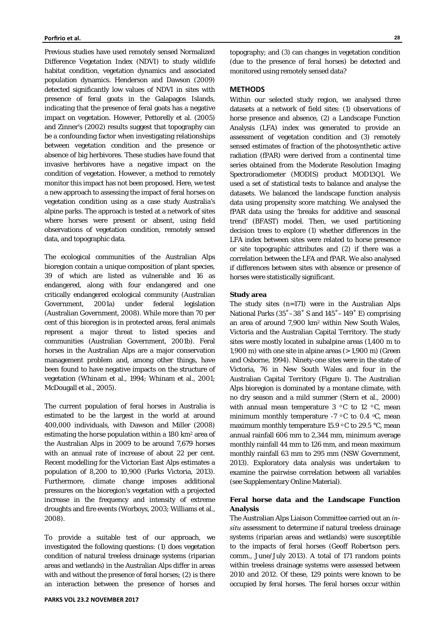Previous studies have used remotely sensed Normalized Difference Vegetation Index (NDVI) to study wildlife habitat condition, vegetation dynamics and associated population dynamics. Henderson and Dawson (2009) detected significantly low values of NDVI in sites with presence of feral goats in the Galapagos Islands, indicating that the presence of feral goats has a negative impact on vegetation. However, Pettorelly et al. (2005) and Zinner's (2002) results suggest that topography can be a confounding factor when investigating relationships between vegetation condition and the presence or absence of big herbivores. These studies have found that invasive herbivores have a negative impact on the condition of vegetation. However, a method to remotely monitor this impact has not been proposed. Here, we test a new approach to assessing the impact of feral horses on vegetation condition using as a case study Australia's alpine parks. The approach is tested at a network of sites where horses were present or absent, using field observations of vegetation condition, remotely sensed data, and topographic data.

The ecological communities of the Australian Alps bioregion contain a unique composition of plant species, 39 of which are listed as vulnerable and 16 as endangered, along with four endangered and one critically endangered ecological community (Australian Government, 2001a) under federal legislation (Australian Government, 2008). While more than 70 per cent of this bioregion is in protected areas, feral animals represent a major threat to listed species and communities (Australian Government, 2001b). Feral horses in the Australian Alps are a major conservation management problem and, among other things, have been found to have negative impacts on the structure of vegetation (Whinam et al., 1994; Whinam et al., 2001; McDougall et al., 2005).

The current population of feral horses in Australia is estimated to be the largest in the world at around 400,000 individuals, with Dawson and Miller (2008) estimating the horse population within a 180 km<sup>2</sup> area of the Australian Alps in 2009 to be around 7,679 horses with an annual rate of increase of about 22 per cent. Recent modelling for the Victorian East Alps estimates a population of 8,200 to 10,900 (Parks Victoria, 2013). Furthermore, climate change imposes additional pressures on the bioregion's vegetation with a projected increase in the frequency and intensity of extreme droughts and fire events (Worboys, 2003; Williams et al*.*, 2008).

To provide a suitable test of our approach, we investigated the following questions: (1) does vegetation condition of natural treeless drainage systems (riparian areas and wetlands) in the Australian Alps differ in areas with and without the presence of feral horses; (2) is there an interaction between the presence of horses and

topography; and (3) can changes in vegetation condition (due to the presence of feral horses) be detected and monitored using remotely sensed data?

#### **METHODS**

Within our selected study region, we analysed three datasets at a network of field sites: (1) observations of horse presence and absence, (2) a Landscape Function Analysis (LFA) index was generated to provide an assessment of vegetation condition and (3) remotely sensed estimates of fraction of the photosynthetic active radiation (fPAR) were derived from a continental time series obtained from the Moderate Resolution Imaging Spectroradiometer (MODIS) product MOD13Q1. We used a set of statistical tests to balance and analyse the datasets. We balanced the landscape function analysis data using propensity score matching. We analysed the fPAR data using the 'breaks for additive and seasonal trend' (BFAST) model*.* Then, we used partitioning decision trees to explore (1) whether differences in the LFA index between sites were related to horse presence or site topographic attributes and (2) if there was a correlation between the LFA and fPAR. We also analysed if differences between sites with absence or presence of horses were statistically significant.

#### **Study area**

The study sites (n=171) were in the Australian Alps National Parks (35˚–38˚ S and 145˚–149˚ E) comprising an area of around 7,900 km2 within New South Wales, Victoria and the Australian Capital Territory. The study sites were mostly located in subalpine areas (1,400 m to 1,900 m) with one site in alpine areas  $(>1,900$  m) (Green and Osborne, 1994). Ninety-one sites were in the state of Victoria, 76 in New South Wales and four in the Australian Capital Territory (Figure 1). The Australian Alps bioregion is dominated by a montane climate, with no dry season and a mild summer (Stern et al., 2000) with annual mean temperature  $3 \degree C$  to  $12 \degree C$ , mean minimum monthly temperature  $-7 \degree C$  to 0.4  $\degree C$ , mean maximum monthly temperature 15.9  $\,^{\circ}$ C to 29.5  $\,^{\circ}$ C, mean annual rainfall 606 mm to 2,344 mm, minimum average monthly rainfall 44 mm to 126 mm, and mean maximum monthly rainfall 63 mm to 295 mm (NSW Government, 2013). Exploratory data analysis was undertaken to examine the pairwise correlation between all variables (see Supplementary Online Material).

# **Feral horse data and the Landscape Function Analysis**

The Australian Alps Liaison Committee carried out an *insitu* assessment to determine if natural treeless drainage systems (riparian areas and wetlands) were susceptible to the impacts of feral horses (Geoff Robertson pers. comm., June/July 2013). A total of 171 random points within treeless drainage systems were assessed between 2010 and 2012. Of these, 129 points were known to be occupied by feral horses. The feral horses occur within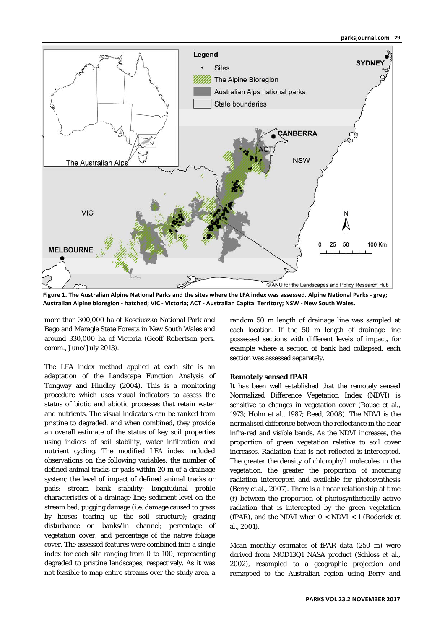# **parksjournal.com 29**



Figure 1. The Australian Alpine National Parks and the sites where the LFA index was assessed. Alpine National Parks - grey; **Australian Alpine bioregion ‐ hatched; VIC ‐ Victoria; ACT ‐ Australian Capital Territory; NSW ‐ New South Wales.**

more than 300,000 ha of Kosciuszko National Park and Bago and Maragle State Forests in New South Wales and around 330,000 ha of Victoria (Geoff Robertson pers. comm., June/July 2013).

The LFA index method applied at each site is an adaptation of the Landscape Function Analysis of Tongway and Hindley (2004). This is a monitoring procedure which uses visual indicators to assess the status of biotic and abiotic processes that retain water and nutrients. The visual indicators can be ranked from pristine to degraded, and when combined, they provide an overall estimate of the status of key soil properties using indices of soil stability, water infiltration and nutrient cycling. The modified LFA index included observations on the following variables: the number of defined animal tracks or pads within 20 m of a drainage system; the level of impact of defined animal tracks or pads; stream bank stability; longitudinal profile characteristics of a drainage line; sediment level on the stream bed; pugging damage (i.e. damage caused to grass by horses tearing up the soil structure); grazing disturbance on banks/in channel; percentage of vegetation cover; and percentage of the native foliage cover. The assessed features were combined into a single index for each site ranging from 0 to 100, representing degraded to pristine landscapes, respectively. As it was not feasible to map entire streams over the study area, a

random 50 m length of drainage line was sampled at each location. If the 50 m length of drainage line possessed sections with different levels of impact, for example where a section of bank had collapsed, each section was assessed separately.

## **Remotely sensed fPAR**

It has been well established that the remotely sensed Normalized Difference Vegetation Index (NDVI) is sensitive to changes in vegetation cover (Rouse et al., 1973; Holm et al., 1987; Reed, 2008). The NDVI is the normalised difference between the reflectance in the near infra-red and visible bands. As the NDVI increases, the proportion of green vegetation relative to soil cover increases. Radiation that is not reflected is intercepted. The greater the density of chlorophyll molecules in the vegetation, the greater the proportion of incoming radiation intercepted and available for photosynthesis (Berry et al., 2007). There is a linear relationship at time (*t*) between the proportion of photosynthetically active radiation that is intercepted by the green vegetation (fPAR), and the NDVI when  $0 < N$ DVI  $< 1$  (Roderick et al., 2001).

Mean monthly estimates of fPAR data (250 m) were derived from MOD13Q1 NASA product (Schloss et al., 2002), resampled to a geographic projection and remapped to the Australian region using Berry and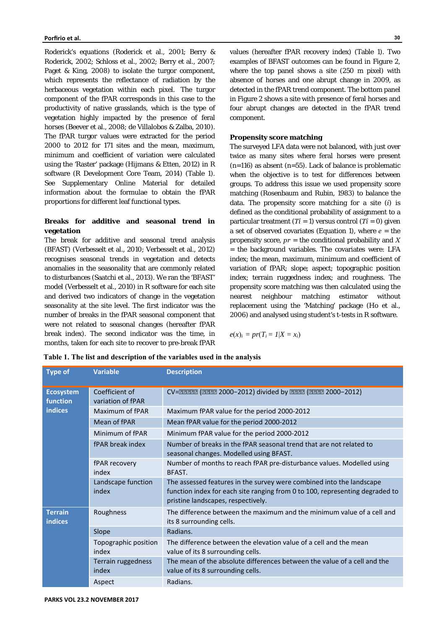Roderick's equations (Roderick et al., 2001; Berry & Roderick, 2002; Schloss et al., 2002; Berry et al., 2007; Paget & King, 2008) to isolate the turgor component, which represents the reflectance of radiation by the herbaceous vegetation within each pixel. The turgor component of the fPAR corresponds in this case to the productivity of native grasslands, which is the type of vegetation highly impacted by the presence of feral horses (Beever et al., 2008; de Villalobos & Zalba, 2010). The fPAR turgor values were extracted for the period 2000 to 2012 for 171 sites and the mean, maximum, minimum and coefficient of variation were calculated using the 'Raster' package (Hijmans & Etten, 2012) in R software (R Development Core Team, 2014) (Table 1). See Supplementary Online Material for detailed information about the formulae to obtain the fPAR proportions for different leaf functional types.

# **Breaks for additive and seasonal trend in vegetation**

The break for additive and seasonal trend analysis (BFAST) (Verbesselt et al., 2010; Verbesselt et al., 2012) recognises seasonal trends in vegetation and detects anomalies in the seasonality that are commonly related to disturbances (Saatchi et al., 2013). We ran the 'BFAST' model (Verbesselt et al., 2010) in R software for each site and derived two indicators of change in the vegetation seasonality at the site level. The first indicator was the number of breaks in the fPAR seasonal component that were not related to seasonal changes (hereafter fPAR break index). The second indicator was the time, in months, taken for each site to recover to pre-break fPAR

values (hereafter fPAR recovery index) (Table 1). Two examples of BFAST outcomes can be found in Figure 2, where the top panel shows a site (250 m pixel) with absence of horses and one abrupt change in 2009, as detected in the fPAR trend component. The bottom panel in Figure 2 shows a site with presence of feral horses and four abrupt changes are detected in the fPAR trend component.

#### **Propensity score matching**

The surveyed LFA data were not balanced, with just over twice as many sites where feral horses were present  $(n=116)$  as absent  $(n=55)$ . Lack of balance is problematic when the objective is to test for differences between groups. To address this issue we used propensity score matching (Rosenbaum and Rubin, 1983) to balance the data. The propensity score matching for a site (*i*) is defined as the conditional probability of assignment to a particular treatment  $(Ti = 1)$  versus control  $(Ti = 0)$  given a set of observed covariates (Equation 1), where  $e =$  the propensity score, *pr* = the conditional probability and *X* = the background variables. The covariates were: LFA index; the mean, maximum, minimum and coefficient of variation of fPAR; slope; aspect; topographic position index; terrain ruggedness index; and roughness. The propensity score matching was then calculated using the nearest neighbour matching estimator without replacement using the 'Matching' package (Ho et al., 2006) and analysed using student's t-tests in R software.

$$
e(x)_i = pr(T_i = 1 | X = x_i)
$$

| Type of                                        | <b>Variable</b>                     | <b>Description</b>                                                                                                                                                                         |
|------------------------------------------------|-------------------------------------|--------------------------------------------------------------------------------------------------------------------------------------------------------------------------------------------|
| <b>Ecosystem</b><br>function<br><b>indices</b> | Coefficient of<br>variation of fPAR | CV=22222 (2222 2000-2012) divided by 2222 (2222 2000-2012)                                                                                                                                 |
|                                                | Maximum of fPAR                     | Maximum fPAR value for the period 2000-2012                                                                                                                                                |
|                                                | Mean of fPAR                        | Mean fPAR value for the period 2000-2012                                                                                                                                                   |
|                                                | Minimum of fPAR                     | Minimum fPAR value for the period 2000-2012                                                                                                                                                |
|                                                | fPAR break index                    | Number of breaks in the fPAR seasonal trend that are not related to<br>seasonal changes. Modelled using BFAST.                                                                             |
|                                                | fPAR recovery<br>index              | Number of months to reach fPAR pre-disturbance values. Modelled using<br>BFAST.                                                                                                            |
|                                                | Landscape function<br>index         | The assessed features in the survey were combined into the landscape<br>function index for each site ranging from 0 to 100, representing degraded to<br>pristine landscapes, respectively. |
| <b>Terrain</b><br><b>indices</b>               | Roughness                           | The difference between the maximum and the minimum value of a cell and<br>its 8 surrounding cells.                                                                                         |
|                                                | Slope                               | Radians.                                                                                                                                                                                   |
|                                                | Topographic position<br>index       | The difference between the elevation value of a cell and the mean<br>value of its 8 surrounding cells.                                                                                     |
|                                                | Terrain ruggedness<br>index         | The mean of the absolute differences between the value of a cell and the<br>value of its 8 surrounding cells.                                                                              |
|                                                | Aspect                              | Radians.                                                                                                                                                                                   |

**Table 1. The list and description of the variables used in the analysis**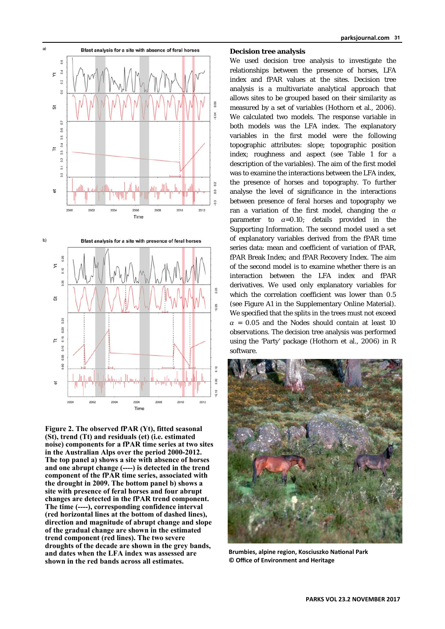

**Figure 2. The observed fPAR (Yt), fitted seasonal (St), trend (Tt) and residuals (et) (i.e. estimated noise) components for a fPAR time series at two sites in the Australian Alps over the period 2000-2012. The top panel a) shows a site with absence of horses and one abrupt change (----) is detected in the trend component of the fPAR time series, associated with the drought in 2009. The bottom panel b) shows a site with presence of feral horses and four abrupt changes are detected in the fPAR trend component. The time (----), corresponding confidence interval (red horizontal lines at the bottom of dashed lines), direction and magnitude of abrupt change and slope of the gradual change are shown in the estimated trend component (red lines). The two severe droughts of the decade are shown in the grey bands, and dates when the LFA index was assessed are shown in the red bands across all estimates.** 

#### **Decision tree analysis**

We used decision tree analysis to investigate the relationships between the presence of horses, LFA index and fPAR values at the sites. Decision tree analysis is a multivariate analytical approach that allows sites to be grouped based on their similarity as measured by a set of variables (Hothorn et al., 2006). We calculated two models. The response variable in both models was the LFA index. The explanatory variables in the first model were the following topographic attributes: slope; topographic position index; roughness and aspect (see Table 1 for a description of the variables). The aim of the first model was to examine the interactions between the LFA index, the presence of horses and topography. To further analyse the level of significance in the interactions between presence of feral horses and topography we ran a variation of the first model, changing the *α* parameter to *α*=0.10; details provided in the Supporting Information. The second model used a set of explanatory variables derived from the fPAR time series data: mean and coefficient of variation of fPAR, fPAR Break Index; and fPAR Recovery Index. The aim of the second model is to examine whether there is an interaction between the LFA index and fPAR derivatives. We used only explanatory variables for which the correlation coefficient was lower than 0.5 (see Figure A1 in the Supplementary Online Material). We specified that the splits in the trees must not exceed  $\alpha$  = 0.05 and the Nodes should contain at least 10 observations. The decision tree analysis was performed using the 'Party' package (Hothorn et al., 2006) in R software.



**Brumbies, alpine region, Kosciuszko National Park © Office of Environment and Heritage**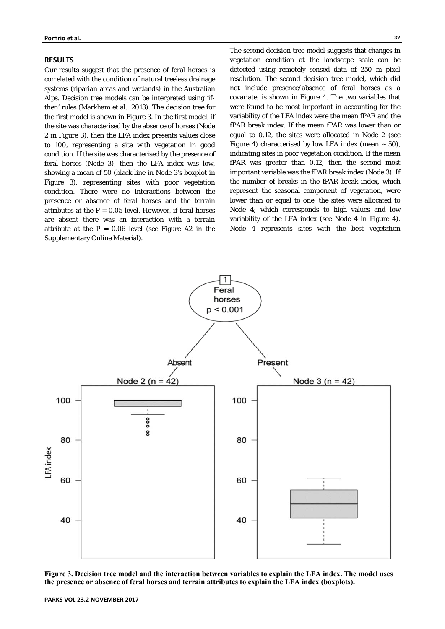## **RESULTS**

Our results suggest that the presence of feral horses is correlated with the condition of natural treeless drainage systems (riparian areas and wetlands) in the Australian Alps. Decision tree models can be interpreted using 'ifthen' rules (Markham et al., 2013). The decision tree for the first model is shown in Figure 3. In the first model, if the site was characterised by the absence of horses (Node 2 in Figure 3), then the LFA index presents values close to 100, representing a site with vegetation in good condition. If the site was characterised by the presence of feral horses (Node 3), then the LFA index was low, showing a mean of 50 (black line in Node 3's boxplot in Figure 3), representing sites with poor vegetation condition. There were no interactions between the presence or absence of feral horses and the terrain attributes at the  $P = 0.05$  level. However, if feral horses are absent there was an interaction with a terrain attribute at the  $P = 0.06$  level (see Figure A2 in the Supplementary Online Material).

The second decision tree model suggests that changes in vegetation condition at the landscape scale can be detected using remotely sensed data of 250 m pixel resolution. The second decision tree model, which did not include presence/absence of feral horses as a covariate, is shown in Figure 4. The two variables that were found to be most important in accounting for the variability of the LFA index were the mean fPAR and the fPAR break index. If the mean fPAR was lower than or equal to 0.12, the sites were allocated in Node 2 (see Figure 4) characterised by low LFA index (mean  $\sim$  50), indicating sites in poor vegetation condition. If the mean fPAR was greater than 0.12, then the second most important variable was the fPAR break index (Node 3). If the number of breaks in the fPAR break index, which represent the seasonal component of vegetation, were lower than or equal to one, the sites were allocated to Node 4; which corresponds to high values and low variability of the LFA index (see Node 4 in Figure 4). Node 4 represents sites with the best vegetation



**Figure 3. Decision tree model and the interaction between variables to explain the LFA index. The model uses the presence or absence of feral horses and terrain attributes to explain the LFA index (boxplots).**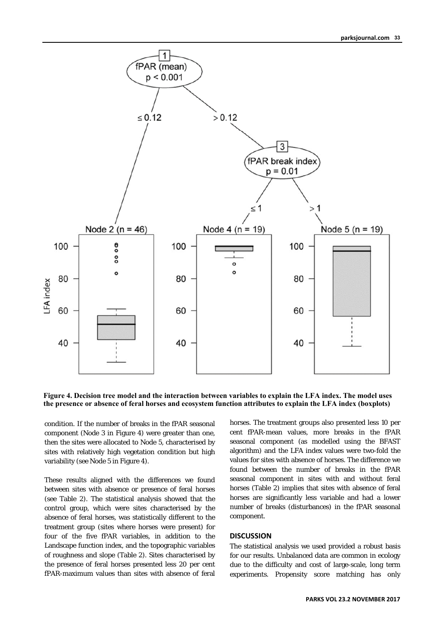

**Figure 4. Decision tree model and the interaction between variables to explain the LFA index. The model uses the presence or absence of feral horses and ecosystem function attributes to explain the LFA index (boxplots)** 

condition. If the number of breaks in the fPAR seasonal component (Node 3 in Figure 4) were greater than one, then the sites were allocated to Node 5, characterised by sites with relatively high vegetation condition but high variability (see Node 5 in Figure 4).

These results aligned with the differences we found between sites with absence or presence of feral horses (see Table 2). The statistical analysis showed that the control group, which were sites characterised by the absence of feral horses, was statistically different to the treatment group (sites where horses were present) for four of the five fPAR variables, in addition to the Landscape function index, and the topographic variables of roughness and slope (Table 2). Sites characterised by the presence of feral horses presented less 20 per cent fPAR-maximum values than sites with absence of feral

horses. The treatment groups also presented less 10 per cent fPAR-mean values, more breaks in the fPAR seasonal component (as modelled using the BFAST algorithm) and the LFA index values were two-fold the values for sites with absence of horses. The difference we found between the number of breaks in the fPAR seasonal component in sites with and without feral horses (Table 2) implies that sites with absence of feral horses are significantly less variable and had a lower number of breaks (disturbances) in the fPAR seasonal component.

## **DISCUSSION**

The statistical analysis we used provided a robust basis for our results. Unbalanced data are common in ecology due to the difficulty and cost of large-scale, long term experiments. Propensity score matching has only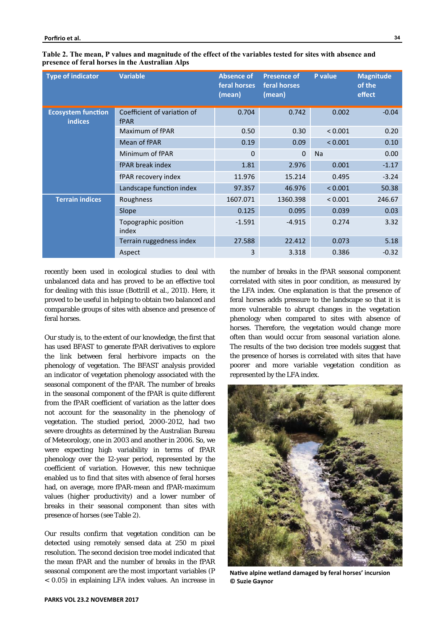| <b>Type of indicator</b>                    | <b>Variable</b>                            | <b>Absence of</b><br>feral horses<br>(mean) | <b>Presence of</b><br>feral horses<br>(mean) | P value   | <b>Magnitude</b><br>of the<br>effect |
|---------------------------------------------|--------------------------------------------|---------------------------------------------|----------------------------------------------|-----------|--------------------------------------|
| <b>Ecosystem function</b><br><b>indices</b> | Coefficient of variation of<br><b>fPAR</b> | 0.704                                       | 0.742                                        | 0.002     | $-0.04$                              |
|                                             | Maximum of fPAR                            | 0.50                                        | 0.30                                         | < 0.001   | 0.20                                 |
|                                             | Mean of fPAR                               | 0.19                                        | 0.09                                         | < 0.001   | 0.10                                 |
|                                             | Minimum of fPAR                            | $\Omega$                                    | $\mathbf 0$                                  | <b>Na</b> | 0.00                                 |
|                                             | fPAR break index                           | 1.81                                        | 2.976                                        | 0.001     | $-1.17$                              |
|                                             | fPAR recovery index                        | 11.976                                      | 15.214                                       | 0.495     | $-3.24$                              |
|                                             | Landscape function index                   | 97.357                                      | 46.976                                       | < 0.001   | 50.38                                |
| <b>Terrain indices</b>                      | Roughness                                  | 1607.071                                    | 1360.398                                     | < 0.001   | 246.67                               |
|                                             | Slope                                      | 0.125                                       | 0.095                                        | 0.039     | 0.03                                 |
|                                             | Topographic position<br>index              | $-1.591$                                    | $-4.915$                                     | 0.274     | 3.32                                 |
|                                             | Terrain ruggedness index                   | 27.588                                      | 22.412                                       | 0.073     | 5.18                                 |
|                                             | Aspect                                     | 3                                           | 3.318                                        | 0.386     | $-0.32$                              |

**Table 2. The mean, P values and magnitude of the effect of the variables tested for sites with absence and presence of feral horses in the Australian Alps** 

recently been used in ecological studies to deal with unbalanced data and has proved to be an effective tool for dealing with this issue (Bottrill et al., 2011). Here, it proved to be useful in helping to obtain two balanced and comparable groups of sites with absence and presence of feral horses.

Our study is, to the extent of our knowledge, the first that has used BFAST to generate fPAR derivatives to explore the link between feral herbivore impacts on the phenology of vegetation. The BFAST analysis provided an indicator of vegetation phenology associated with the seasonal component of the fPAR. The number of breaks in the seasonal component of the fPAR is quite different from the fPAR coefficient of variation as the latter does not account for the seasonality in the phenology of vegetation. The studied period, 2000-2012, had two severe droughts as determined by the Australian Bureau of Meteorology, one in 2003 and another in 2006. So, we were expecting high variability in terms of fPAR phenology over the 12-year period, represented by the coefficient of variation. However, this new technique enabled us to find that sites with absence of feral horses had, on average, more fPAR-mean and fPAR-maximum values (higher productivity) and a lower number of breaks in their seasonal component than sites with presence of horses (see Table 2).

Our results confirm that vegetation condition can be detected using remotely sensed data at 250 m pixel resolution. The second decision tree model indicated that the mean fPAR and the number of breaks in the fPAR seasonal component are the most important variables (P < 0.05) in explaining LFA index values. An increase in

the number of breaks in the fPAR seasonal component correlated with sites in poor condition, as measured by the LFA index. One explanation is that the presence of feral horses adds pressure to the landscape so that it is more vulnerable to abrupt changes in the vegetation phenology when compared to sites with absence of horses. Therefore, the vegetation would change more often than would occur from seasonal variation alone. The results of the two decision tree models suggest that the presence of horses is correlated with sites that have poorer and more variable vegetation condition as represented by the LFA index.



Native alpine wetland damaged by feral horses' incursion **© Suzie Gaynor**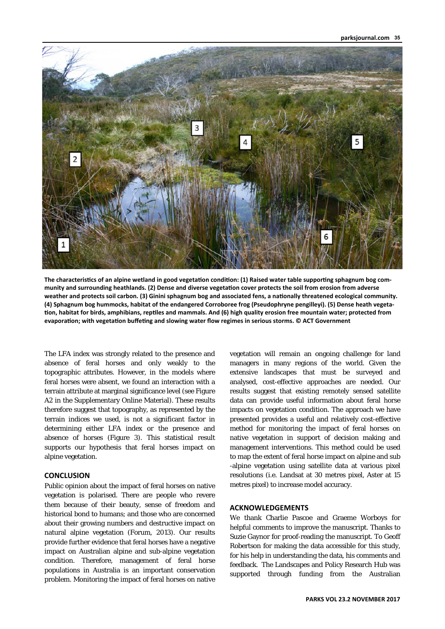

The characteristics of an alpine wetland in good vegetation condition: (1) Raised water table supporting sphagnum bog community and surrounding heathlands. (2) Dense and diverse vegetation cover protects the soil from erosion from adverse weather and protects soil carbon. (3) Ginini sphagnum bog and associated fens, a nationally threatened ecological community. **(4) Sphagnum bog hummocks, habitat of the endangered Corroboree frog (Pseudophryne pengilleyi). (5) Dense heath vegeta‐** tion, habitat for birds, amphibians, reptiles and mammals. And (6) high quality erosion free mountain water; protected from evaporation; with vegetation buffeting and slowing water flow regimes in serious storms. © ACT Government

The LFA index was strongly related to the presence and absence of feral horses and only weakly to the topographic attributes. However, in the models where feral horses were absent, we found an interaction with a terrain attribute at marginal significance level (see Figure A2 in the Supplementary Online Material). These results therefore suggest that topography, as represented by the terrain indices we used, is not a significant factor in determining either LFA index or the presence and absence of horses (Figure 3). This statistical result supports our hypothesis that feral horses impact on alpine vegetation.

# **CONCLUSION**

Public opinion about the impact of feral horses on native vegetation is polarised. There are people who revere them because of their beauty, sense of freedom and historical bond to humans; and those who are concerned about their growing numbers and destructive impact on natural alpine vegetation (Forum, 2013). Our results provide further evidence that feral horses have a negative impact on Australian alpine and sub-alpine vegetation condition. Therefore, management of feral horse populations in Australia is an important conservation problem. Monitoring the impact of feral horses on native

vegetation will remain an ongoing challenge for land managers in many regions of the world. Given the extensive landscapes that must be surveyed and analysed, cost-effective approaches are needed. Our results suggest that existing remotely sensed satellite data can provide useful information about feral horse impacts on vegetation condition. The approach we have presented provides a useful and relatively cost-effective method for monitoring the impact of feral horses on native vegetation in support of decision making and management interventions. This method could be used to map the extent of feral horse impact on alpine and sub -alpine vegetation using satellite data at various pixel resolutions (i.e. Landsat at 30 metres pixel, Aster at 15 metres pixel) to increase model accuracy.

# **ACKNOWLEDGEMENTS**

We thank Charlie Pascoe and Graeme Worboys for helpful comments to improve the manuscript. Thanks to Suzie Gaynor for proof-reading the manuscript. To Geoff Robertson for making the data accessible for this study, for his help in understanding the data, his comments and feedback. The Landscapes and Policy Research Hub was supported through funding from the Australian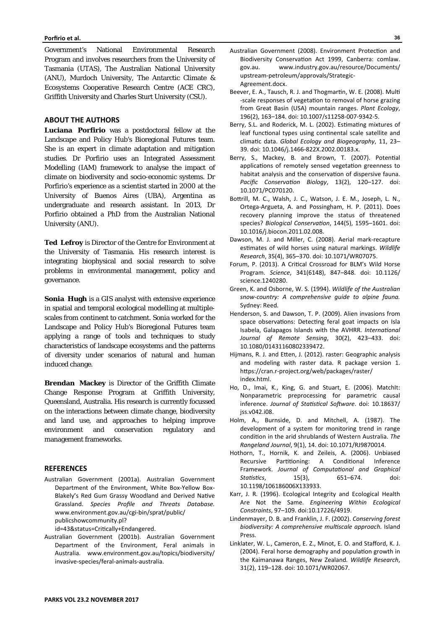Government's National Environmental Research Program and involves researchers from the University of Tasmania (UTAS), The Australian National University (ANU), Murdoch University, The Antarctic Climate & Ecosystems Cooperative Research Centre (ACE CRC), Griffith University and Charles Sturt University (CSU).

# **ABOUT THE AUTHORS**

**Luciana Porfirio** was a postdoctoral fellow at the Landscape and Policy Hub's Bioregional Futures team. She is an expert in climate adaptation and mitigation studies. Dr Porfirio uses an Integrated Assessment Modelling (IAM) framework to analyse the impact of climate on biodiversity and socio-economic systems. Dr Porfirio's experience as a scientist started in 2000 at the University of Buenos Aires (UBA), Argentina as undergraduate and research assistant. In 2013, Dr Porfirio obtained a PhD from the Australian National University (ANU).

**Ted Lefroy** is Director of the Centre for Environment at the University of Tasmania. His research interest is integrating biophysical and social research to solve problems in environmental management, policy and governance.

**Sonia Hugh** is a GIS analyst with extensive experience in spatial and temporal ecological modelling at multiplescales from continent to catchment. Sonia worked for the Landscape and Policy Hub's Bioregional Futures team applying a range of tools and techniques to study characteristics of landscape ecosystems and the patterns of diversity under scenarios of natural and human induced change.

**Brendan Mackey** is Director of the Griffith Climate Change Response Program at Griffith University, Queensland, Australia. His research is currently focussed on the interactions between climate change, biodiversity and land use, and approaches to helping improve environment and conservation regulatory and management frameworks.

#### **REFERENCES**

Australian Government (2001a). Australian Government Department of the Environment, White Box‐Yellow Box‐ Blakely's Red Gum Grassy Woodland and Derived Native Grassland. *Species Profile and Threats Database.* www.environment.gov.au/cgi‐bin/sprat/public/ publicshowcommunity.pl?

id=43&status=Critically+Endangered.

Australian Government (2001b). Australian Government Department of the Environment, Feral animals in Australia. www.environment.gov.au/topics/biodiversity/ invasive‐species/feral‐animals‐australia.

- Australian Government (2008). Environment Protection and Biodiversity Conservation Act 1999, Canberra: comlaw. gov.au. www.industry.gov.au/resource/Documents/ upstream‐petroleum/approvals/Strategic‐ Agreement.docx.
- Beever, E. A., Tausch, R. J. and Thogmartin, W. E. (2008). Multi ‐scale responses of vegetaƟon to removal of horse grazing from Great Basin (USA) mountain ranges. *Plant Ecology*, 196(2), 163–184. doi: 10.1007/s11258‐007‐9342‐5.
- Berry, S.L. and Roderick, M. L. (2002). Estimating mixtures of leaf functional types using continental scale satellite and climaƟc data. *Global Ecology and Biogeography*, 11, 23– 39. doi: 10.1046/j.1466‐822X.2002.00183.x.
- Berry, S., Mackey, B. and Brown, T. (2007). Potential applications of remotely sensed vegetation greenness to habitat analysis and the conservation of dispersive fauna. Pacific Conservation Biology, 13(2), 120-127. doi: 10.1071/PC070120.
- Bottrill, M. C., Walsh, J. C., Watson, J. E. M., Joseph, L. N., Ortega‐Argueta, A. and Possingham, H. P. (2011). Does recovery planning improve the status of threatened species? Biological Conservation, 144(5), 1595-1601. doi: 10.1016/j.biocon.2011.02.008.
- Dawson, M. J. and Miller, C. (2008). Aerial mark-recapture estimates of wild horses using natural markings. Wildlife *Research*, 35(4), 365–370. doi: 10.1071/WR07075.
- Forum, P. (2013). A Critical Crossroad for BLM's Wild Horse Program. *Science*, 341(6148), 847–848. doi: 10.1126/ science.1240280.
- Green, K. and Osborne, W. S. (1994). *Wildlife of the Australian snow‐country: A comprehensive guide to alpine fauna.*  Sydney: Reed.
- Henderson, S. and Dawson, T. P. (2009). Alien invasions from space observations: Detecting feral goat impacts on Isla Isabela, Galapagos Islands with the AVHRR. *InternaƟonal Journal of Remote Sensing*, 30(2), 423–433. doi: 10.1080/01431160802339472.
- Hijmans, R. J. and Etten, J. (2012). raster: Geographic analysis and modeling with raster data. R package version 1. https://cran.r-project.org/web/packages/raster/ index.html.
- Ho, D., Imai, K., King, G. and Stuart, E. (2006). Matchlt: Nonparametric preprocessing for parametric causal inference. Journal of Statistical Software. doi: 10.18637/ jss.v042.i08.
- Holm, A., Burnside, D. and Mitchell, A. (1987). The development of a system for monitoring trend in range condiƟon in the arid shrublands of Western Australia. *The Rangeland Journal*, 9(1), 14. doi: 10.1071/RJ9870014.
- Hothorn, T., Hornik, K. and Zeileis, A. (2006). Unbiased Recursive Partitioning: A Conditional Inference Framework. Journal of Computational and Graphical *Statistics*, 15(3), 651–674. doi: 10.1198/106186006X133933.
- Karr, J. R. (1996). Ecological Integrity and Ecological Health Are Not the Same. *Engineering Within Ecological Constraints*, 97–109. doi:10.17226/4919.
- Lindenmayer, D. B. and Franklin, J. F. (2002). *Conserving forest biodiversity: A comprehensive mulƟscale approach.* Island Press.
- Linklater, W. L., Cameron, E. Z., Minot, E. O. and Stafford, K. J. (2004). Feral horse demography and population growth in the Kaimanawa Ranges, New Zealand*. Wildlife Research*, 31(2), 119–128. doi: 10.1071/WR02067.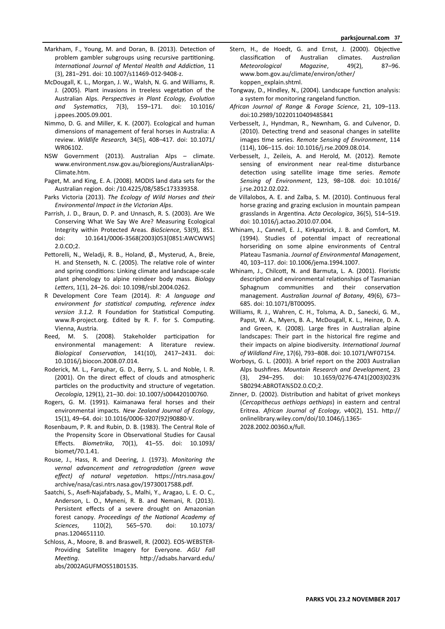- Markham, F., Young, M. and Doran, B. (2013). Detection of problem gambler subgroups using recursive partitioning. *InternaƟonal Journal of Mental Health and AddicƟon*, 11 (3), 281–291. doi: 10.1007/s11469‐012‐9408‐z.
- McDougall, K. L., Morgan, J. W., Walsh, N. G. and Williams, R. J. (2005). Plant invasions in treeless vegetation of the Australian Alps. Perspectives in Plant Ecology, Evolution *and SystemaƟcs*, 7(3), 159–171. doi: 10.1016/ j.ppees.2005.09.001.
- Nimmo, D. G. and Miller, K. K. (2007). Ecological and human dimensions of management of feral horses in Australia: A review. *Wildlife Research,* 34(5), 408–417. doi: 10.1071/ WR06102.
- NSW Government (2013). Australian Alps climate. www.environment.nsw.gov.au/bioregions/AustralianAlps‐ Climate.htm.
- Paget, M. and King, E. A. (2008). MODIS land data sets for the Australian region. doi: /10.4225/08/585c173339358.
- Parks Victoria (2013). *The Ecology of Wild Horses and their Environmental Impact in the Victorian Alps*.
- Parrish, J. D., Braun, D. P. and Unnasch, R. S. (2003). Are We Conserving What We Say We Are? Measuring Ecological Integrity within Protected Areas. *BioScience*, 53(9), 851. doi: 10.1641/0006‐3568(2003)053[0851:AWCWWS] 2.0.CO;2.
- Pettorelli, N., Weladji, R. B., Holand, Ø., Mysterud, A., Breie, H. and Stenseth, N. C. (2005). The relative role of winter and spring conditions: Linking climate and landscape-scale plant phenology to alpine reindeer body mass. *Biology*  Letters, 1(1), 24-26. doi: 10.1098/rsbl.2004.0262.
- R Development Core Team (2014). *R: A language and environment for staƟsƟcal compuƟng, reference index version 3.1.2.* R Foundation for Statistical Computing. www.R-project.org. Edited by R. F. for S. Computing. Vienna, Austria.
- Reed, M. S. (2008). Stakeholder participation for environmental management: A literature review. *Biological ConservaƟon*, 141(10), 2417–2431. doi: 10.1016/j.biocon.2008.07.014.
- Roderick, M. L., Farquhar, G. D., Berry, S. L. and Noble, I. R. (2001). On the direct effect of clouds and atmospheric particles on the productivity and structure of vegetation. *Oecologia*, 129(1), 21–30. doi: 10.1007/s004420100760.
- Rogers, G. M. (1991). Kaimanawa feral horses and their environmental impacts. *New Zealand Journal of Ecology*, 15(1), 49–64. doi: 10.1016/0006‐3207(92)90880‐V.
- Rosenbaum, P. R. and Rubin, D. B. (1983). The Central Role of the Propensity Score in Observational Studies for Causal Effects. *Biometrika*, 70(1), 41–55. doi: 10.1093/ biomet/70.1.41.
- Rouse, J., Hass, R. and Deering, J. (1973). *Monitoring the vernal advancement and retrogradaƟon (green wave*  effect) of natural vegetation. https://ntrs.nasa.gov/ archive/nasa/casi.ntrs.nasa.gov/19730017588.pdf.
- Saatchi, S., Asefi‐Najafabady, S., Malhi, Y., Aragao, L. E. O. C., Anderson, L. O., Myneni, R. B. and Nemani, R. (2013). Persistent effects of a severe drought on Amazonian forest canopy. Proceedings of the National Academy of *Sciences*, 110(2), 565–570. doi: 10.1073/ pnas.1204651110.
- Schloss, A., Moore, B. and Braswell, R. (2002). EOS‐WEBSTER‐ Providing Satellite Imagery for Everyone. *AGU Fall Meeting.* **http://adsabs.harvard.edu/** abs/2002AGUFMOS51B0153S.
- Stern, H., de Hoedt, G. and Ernst, J. (2000). Objective classificaƟon of Australian climates. *Australian Meteorological Magazine*, 49(2), 87–96. www.bom.gov.au/climate/environ/other/ koppen\_explain.shtml.
- Tongway, D., Hindley, N., (2004). Landscape function analysis: a system for monitoring rangeland function.
- *African Journal of Range & Forage Science*, 21, 109–113. doi:10.2989/10220110409485841
- Verbesselt, J., Hyndman, R., Newnham, G. and Culvenor, D. (2010). Detecting trend and seasonal changes in satellite images time series. *Remote Sensing of Environment*, 114 (114), 106–115. doi: 10.1016/j.rse.2009.08.014.
- Verbesselt, J., Zeileis, A. and Herold, M. (2012). Remote sensing of environment near real-time disturbance detection using satellite image time series. Remote *Sensing of Environment*, 123, 98–108. doi: 10.1016/ j.rse.2012.02.022.
- de Villalobos, A. E. and Zalba, S. M. (2010). Continuous feral horse grazing and grazing exclusion in mountain pampean grasslands in ArgenƟna. *Acta Oecologica*, 36(5), 514–519. doi: 10.1016/j.actao.2010.07.004.
- Whinam, J., Cannell, E. J., Kirkpatrick, J. B. and Comfort, M. (1994). Studies of potential impact of recreational horseriding on some alpine environments of Central Plateau Tasmania. *Journal of Environmental Management*, 40, 103–117. doi: 10.1006/jema.1994.1007.
- Whinam, J., Chilcott, N. and Barmuta, L. A. (2001). Floristic description and environmental relationships of Tasmanian Sphagnum communities and their conservation management. *Australian Journal of Botany*, 49(6), 673– 685. doi: 10.1071/BT00095.
- Williams, R. J., Wahren, C. H., Tolsma, A. D., Sanecki, G. M., Papst, W. A., Myers, B. A., McDougall, K. L., Heinze, D. A. and Green, K. (2008). Large fires in Australian alpine landscapes: Their part in the historical fire regime and their impacts on alpine biodiversity. *InternaƟonal Journal of Wildland Fire*, 17(6), 793–808. doi: 10.1071/WF07154.
- Worboys, G. L. (2003). A brief report on the 2003 Australian Alps bushfires. *Mountain Research and Development,* 23 (3), 294–295. doi: 10.1659/0276‐4741(2003)023% 5B0294:ABROTA%5D2.0.CO;2.
- Zinner, D. (2002). Distribution and habitat of grivet monkeys (*Cercopithecus aethiops aethiops*) in eastern and central Eritrea. African Journal of Ecology, v40(2), 151. http:// onlinelibrary.wiley.com/doi/10.1046/j.1365‐ 2028.2002.00360.x/full.